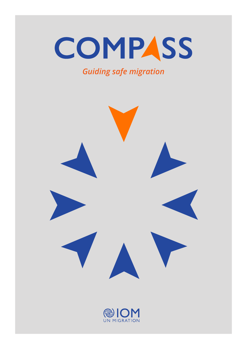# COMPASS

### *Guiding safe migration*



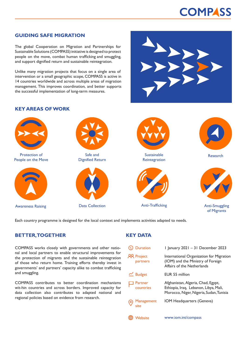## **COMPASS**

#### **GUIDING SAFE MIGRATION**

The global Cooperation on Migration and Partnerships for Sustainable Solutions (COMPASS) initiative is designed to protect people on the move, combat human trafficking and smuggling, and support dignified return and sustainable reintegration.

Unlike many migration projects that focus on a single area of intervention or a small geographic scope, COMPASS is active in 14 countries worldwide and across multiple areas of migration management. This improves coordination, and better supports the successful implementation of long-term measures.

#### **KEY AREAS OF WORK**



Each country programme is designed for the local context and implements activities adapted to needs.

#### **BETTER, TOGETHER**

COMPASS works closely with governments and other national and local partners to enable structural improvements for the protection of migrants and the sustainable reintegration of those who return home. Training efforts thereby invest in governments' and partners' capacity alike to combat trafficking and smuggling.

COMPASS contributes to better coordination mechanisms wit-hin countries and across borders. Improved capacity for data collection also contributes to adapted national and regional policies based on evidence from research.

#### **KEY DATA**

| <b>Duration</b>               | I January $2021 - 31$ December 2023                                                                                    |
|-------------------------------|------------------------------------------------------------------------------------------------------------------------|
| <b>AR Project</b><br>partners | International Organization for Migration<br>(IOM) and the Ministry of Foreign<br>Affairs of the Netherlands            |
| $\leq$ Budget                 | EUR 55 million                                                                                                         |
| Partner<br>countries          | Afghanistan, Algeria, Chad, Egypt,<br>Ethiopia, Iraq, Lebanon, Libya, Mali,<br>Morocco, Niger, Nigeria, Sudan, Tunisia |
| Management<br>site            | IOM Headquarters (Geneva)                                                                                              |
| Vebsite                       | www.iom.int/compass                                                                                                    |